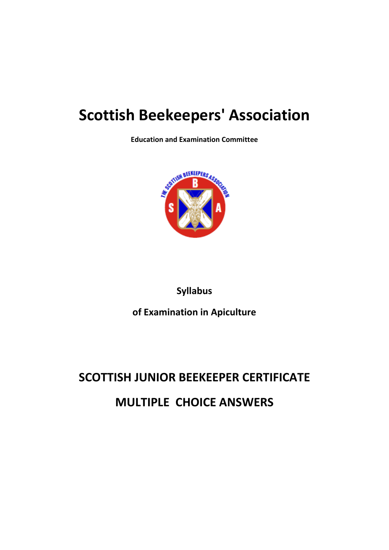## **Scottish Beekeepers' Association**

**Education and Examination Committee**



**Syllabus**

**of Examination in Apiculture**

# **SCOTTISH JUNIOR BEEKEEPER CERTIFICATE**

### **MULTIPLE CHOICE ANSWERS**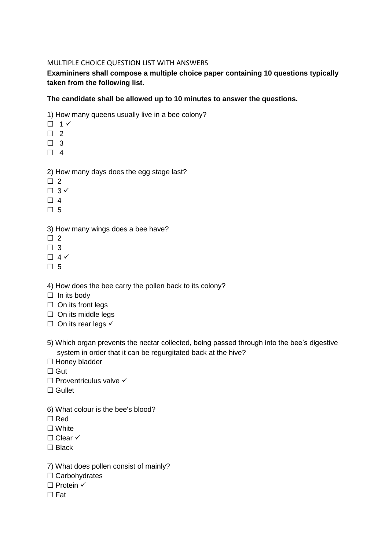#### MULTIPLE CHOICE QUESTION LIST WITH ANSWERS

**Examininers shall compose a multiple choice paper containing 10 questions typically taken from the following list.**

#### **The candidate shall be allowed up to 10 minutes to answer the questions.**

1) How many queens usually live in a bee colony?

- $\Box$  1  $\checkmark$
- $\Box$  2
- $\Box$  3
- $\Box$  4

#### 2) How many days does the egg stage last?

- $\Box$  2
- $\Box$  3  $\checkmark$
- $\Box$  4
- □ 5

#### 3) How many wings does a bee have?

- $\Box$  2
- $\Box$  3
- $\Box$  4  $\checkmark$
- □ 5
- 4) How does the bee carry the pollen back to its colony?
- $\Box$  In its body
- $\Box$  On its front legs
- $\Box$  On its middle legs
- $\Box$  On its rear legs  $\checkmark$
- 5) Which organ prevents the nectar collected, being passed through into the bee's digestive system in order that it can be regurgitated back at the hive?
- $\Box$  Honey bladder
- $\Box$  Gut
- $\Box$  Proventriculus valve  $\checkmark$
- $\Box$  Gullet
- 6) What colour is the bee's blood?
- $\Box$  Red
- □ White
- $\Box$  Clear  $\checkmark$
- $\Box$  Black
- 7) What does pollen consist of mainly?
- $\Box$  Carbohydrates
- $\Box$  Protein  $\checkmark$
- $\Box$  Fat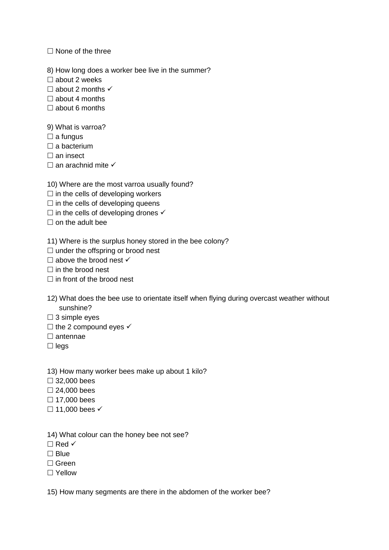$\Box$  None of the three

8) How long does a worker bee live in the summer?

 $\square$  about 2 weeks

 $\Box$  about 2 months  $\checkmark$ 

 $\Box$  about 4 months

 $\Box$  about 6 months

9) What is varroa?

 $\square$  a fungus

 $\square$  a bacterium

 $\Box$  an insect

 $\Box$  an arachnid mite  $\checkmark$ 

10) Where are the most varroa usually found?

 $\Box$  in the cells of developing workers

 $\Box$  in the cells of developing queens

 $\square$  in the cells of developing drones  $\checkmark$ 

 $\Box$  on the adult bee

11) Where is the surplus honey stored in the bee colony?

 $\Box$  under the offspring or brood nest

 $\Box$  above the brood nest  $\checkmark$ 

 $\Box$  in the brood nest

 $\Box$  in front of the brood nest

12) What does the bee use to orientate itself when flying during overcast weather without sunshine?

 $\square$  3 simple eyes

 $\Box$  the 2 compound eyes  $\checkmark$ 

 $\square$  antennae

 $\square$  legs

13) How many worker bees make up about 1 kilo?

32,000 bees

 $\square$  24,000 bees

 $\Box$  17,000 bees

 $\Box$  11,000 bees  $\checkmark$ 

14) What colour can the honey bee not see?

 $\Box$  Red  $\checkmark$ 

 $\Box$  Blue

□ Green

□ Yellow

15) How many segments are there in the abdomen of the worker bee?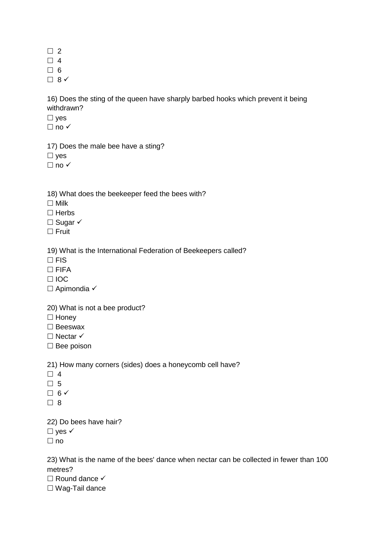$\Box$  2

 $\Box$  4

 $\Box$  6

 $\Box$  8  $\checkmark$ 

16) Does the sting of the queen have sharply barbed hooks which prevent it being withdrawn?

 $\square$  yes

 $\Box$  no  $\checkmark$ 

17) Does the male bee have a sting?  $\square$  ves

 $\Box$  no  $\checkmark$ 

18) What does the beekeeper feed the bees with?

 $\Box$  Milk

 $\Box$  Herbs

 $\Box$  Sugar  $\checkmark$ 

 $\square$  Fruit

19) What is the International Federation of Beekeepers called?

 $\Box$  FIS

 $\Box$  FIFA

 $\Box$ IOC

 $\Box$  Apimondia  $\checkmark$ 

20) What is not a bee product?

 $\Box$  Honey

 $\square$  Beeswax

 $\Box$  Nectar  $\checkmark$ 

 $\square$  Bee poison

21) How many corners (sides) does a honeycomb cell have?

 $\Box$  4

 $\Box$  5

 $\Box$  6  $\checkmark$ 

 $\Box$  8

22) Do bees have hair?

 $\Box$  yes  $\checkmark$ 

 $\Box$  no

23) What is the name of the bees' dance when nectar can be collected in fewer than 100 metres?

 $\Box$  Round dance  $\checkmark$ 

Wag-Tail dance